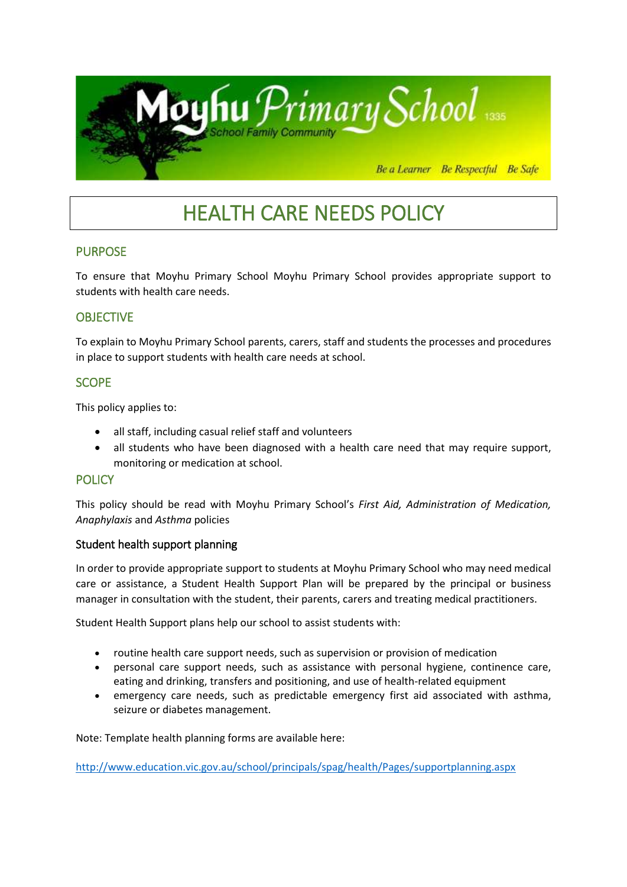

# HEALTH CARE NEEDS POLICY

## PURPOSE

To ensure that Moyhu Primary School Moyhu Primary School provides appropriate support to students with health care needs.

## **OBJECTIVE**

To explain to Moyhu Primary School parents, carers, staff and students the processes and procedures in place to support students with health care needs at school.

### **SCOPE**

This policy applies to:

- all staff, including casual relief staff and volunteers
- all students who have been diagnosed with a health care need that may require support, monitoring or medication at school.

#### **POLICY**

This policy should be read with Moyhu Primary School's *First Aid, Administration of Medication, Anaphylaxis* and *Asthma* policies

#### Student health support planning

In order to provide appropriate support to students at Moyhu Primary School who may need medical care or assistance, a Student Health Support Plan will be prepared by the principal or business manager in consultation with the student, their parents, carers and treating medical practitioners.

Student Health Support plans help our school to assist students with:

- routine health care support needs, such as supervision or provision of medication
- personal care support needs, such as assistance with personal hygiene, continence care, eating and drinking, transfers and positioning, and use of health-related equipment
- emergency care needs, such as predictable emergency first aid associated with asthma, seizure or diabetes management.

Note: Template health planning forms are available here:

<http://www.education.vic.gov.au/school/principals/spag/health/Pages/supportplanning.aspx>